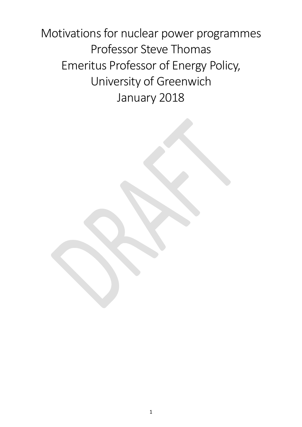Motivations for nuclear power programmes Professor Steve Thomas Emeritus Professor of Energy Policy, University of Greenwich January 2018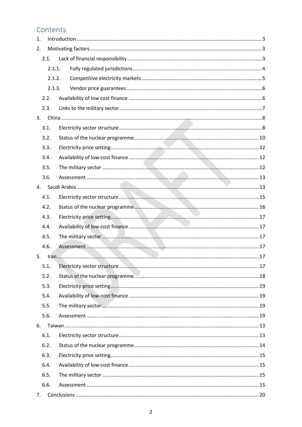# Contents

| 1. |        |  |  |  |
|----|--------|--|--|--|
| 2. |        |  |  |  |
|    | 2.1.   |  |  |  |
|    | 2.1.1. |  |  |  |
|    | 2.1.2. |  |  |  |
|    | 2.1.3. |  |  |  |
|    | 2.2.   |  |  |  |
|    | 2.3.   |  |  |  |
| 3. |        |  |  |  |
|    | 3.1.   |  |  |  |
|    | 3.2.   |  |  |  |
|    | 3.3.   |  |  |  |
|    | 3.4.   |  |  |  |
|    | 3.5.   |  |  |  |
|    | 3.6.   |  |  |  |
| 4. |        |  |  |  |
|    | 4.1.   |  |  |  |
|    | 4.2.   |  |  |  |
|    | 4.3.   |  |  |  |
|    | 4.4.   |  |  |  |
|    | 4.5.   |  |  |  |
|    | 4.6.   |  |  |  |
| 5. |        |  |  |  |
|    | 5.1.   |  |  |  |
|    | 5.2.   |  |  |  |
|    | 5.3.   |  |  |  |
|    | 5.4.   |  |  |  |
|    | 5.5.   |  |  |  |
|    | 5.6.   |  |  |  |
| 6. |        |  |  |  |
|    | 6.1.   |  |  |  |
|    | 6.2.   |  |  |  |
|    | 6.3.   |  |  |  |
|    | 6.4.   |  |  |  |
|    | 6.5.   |  |  |  |
|    | 6.6.   |  |  |  |
|    |        |  |  |  |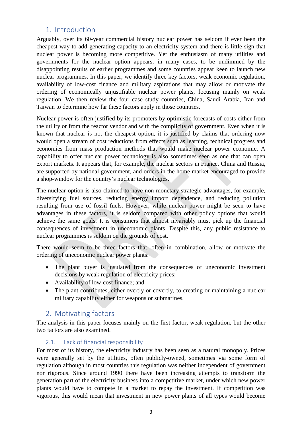# <span id="page-2-0"></span>1. Introduction

Arguably, over its 60-year commercial history nuclear power has seldom if ever been the cheapest way to add generating capacity to an electricity system and there is little sign that nuclear power is becoming more competitive. Yet the enthusiasm of many utilities and governments for the nuclear option appears, in many cases, to be undimmed by the disappointing results of earlier programmes and some countries appear keen to launch new nuclear programmes. In this paper, we identify three key factors, weak economic regulation, availability of low-cost finance and military aspirations that may allow or motivate the ordering of economically unjustifiable nuclear power plants, focusing mainly on weak regulation. We then review the four case study countries, China, Saudi Arabia, Iran and Taiwan to determine how far these factors apply in those countries.

Nuclear power is often justified by its promoters by optimistic forecasts of costs either from the utility or from the reactor vendor and with the complicity of government. Even when it is known that nuclear is not the cheapest option, it is justified by claims that ordering now would open a stream of cost reductions from effects such as learning, technical progress and economies from mass production methods that would make nuclear power economic. A capability to offer nuclear power technology is also sometimes seen as one that can open export markets. It appears that, for example, the nuclear sectors in France, China and Russia, are supported by national government, and orders in the home market encouraged to provide a shop-window for the country's nuclear technologies.

The nuclear option is also claimed to have non-monetary strategic advantages, for example, diversifying fuel sources, reducing energy import dependence, and reducing pollution resulting from use of fossil fuels. However, while nuclear power might be seen to have advantages in these factors, it is seldom compared with other policy options that would achieve the same goals. It is consumers that almost invariably must pick up the financial consequences of investment in uneconomic plants. Despite this, any public resistance to nuclear programmes is seldom on the grounds of cost.

There would seem to be three factors that, often in combination, allow or motivate the ordering of uneconomic nuclear power plants:

- The plant buyer is insulated from the consequences of uneconomic investment decisions by weak regulation of electricity prices;
- Availability of low-cost finance; and
- The plant contributes, either overtly or covertly, to creating or maintaining a nuclear military capability either for weapons or submarines.

# <span id="page-2-1"></span>2. Motivating factors

The analysis in this paper focuses mainly on the first factor, weak regulation, but the other two factors are also examined.

# 2.1. Lack of financial responsibility

<span id="page-2-2"></span>For most of its history, the electricity industry has been seen as a natural monopoly. Prices were generally set by the utilities, often publicly-owned, sometimes via some form of regulation although in most countries this regulation was neither independent of government nor rigorous. Since around 1990 there have been increasing attempts to transform the generation part of the electricity business into a competitive market, under which new power plants would have to compete in a market to repay the investment. If competition was vigorous, this would mean that investment in new power plants of all types would become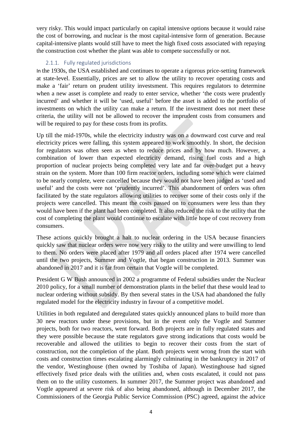very risky. This would impact particularly on capital intensive options because it would raise the cost of borrowing, and nuclear is the most capital-intensive form of generation. Because capital-intensive plants would still have to meet the high fixed costs associated with repaying the construction cost whether the plant was able to compete successfully or not.

### 2.1.1. Fully regulated jurisdictions

<span id="page-3-0"></span>In the 1930s, the USA established and continues to operate a rigorous price-setting framework at state-level. Essentially, prices are set to allow the utility to recover operating costs and make a 'fair' return on prudent utility investsment. This requires regulators to determine when a new asset is complete and ready to enter service, whether 'the costs were prudently incurred' and whether it will be 'used, useful' before the asset is added to the portfolio of investments on which the utility can make a return. If the investment does not meet these criteria, the utility will not be allowed to recover the imprudent costs from consumers and will be required to pay for these costs from its profits.

Up till the mid-1970s, while the electricity industry was on a downward cost curve and real electricity prices were falling, this system appeared to work smoothly. In short, the decision for regulators was often seen as when to reduce prices and by how much. However, a combination of lower than expected electricity demand, rising fuel costs and a high proportion of nuclear projects being completed very late and far over-budget put a heavy strain on the system. More than 100 firm reactor orders, including some which were claimed to be nearly complete, were cancelled because they would not have been judged as 'used and useful' and the costs were not 'prudently incurred'. This abandonment of orders was often facilitated by the state regulators allowing utilities to recover some of their costs only if the projects were cancelled. This meant the costs passed on to consumers were less than they would have been if the plant had been completed. It also reduced the risk to the utility that the cost of completing the plant would continue to escalate with little hope of cost recovery from consumers.

These actions quickly brought a halt to nuclear ordering in the USA because financiers quickly saw that nuclear orders were now very risky to the utility and were unwilling to lend to them. No orders were placed after 1979 and all orders placed after 1974 were cancelled until the two projects, Summer and Vogtle, that began construction in 2013. Summer was abandoned in 2017 and it is far from certain that Vogtle will be completed.

President G W Bush announced in 2002 a programme of Federal subsidies under the Nuclear 2010 policy, for a small number of demonstration plants in the belief that these would lead to nuclear ordering without subsidy. By then several states in the USA had abandoned the fully regulated model for the electricity industry in favour of a competitive model.

Utilities in both regulated and deregulated states quickly announced plans to build more than 30 new reactors under these provisions, but in the event only the Vogtle and Summer projects, both for two reactors, went forward. Both projects are in fully regulated states and they were possible because the state regulators gave strong indications that costs would be recoverable and allowed the utilities to begin to recover their costs from the start of construction, not the completion of the plant. Both projects went wrong from the start with costs and construction times escalating alarmingly culminating in the bankruptcy in 2017 of the vendor, Westinghouse (then owned by Toshiba of Japan). Westinghouse had signed effectively fixed price deals with the utilities and, when costs escalated, it could not pass them on to the utility customers. In summer 2017, the Summer project was abandoned and Vogtle appeared at severe risk of also being abandoned, although in December 2017, the Commissioners of the Georgia Public Service Commission (PSC) agreed, against the advice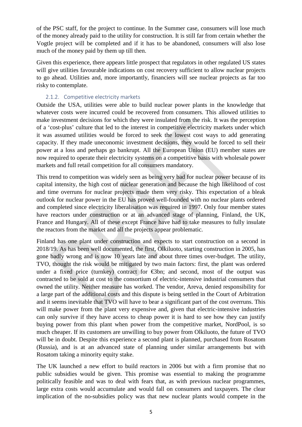of the PSC staff, for the project to continue. In the Summer case, consumers will lose much of the money already paid to the utility for construction. It is still far from certain whether the Vogtle project will be completed and if it has to be abandoned, consumers will also lose much of the money paid by them up till then.

Given this experience, there appears little prospect that regulators in other regulated US states will give utilities favourable indications on cost recovery sufficient to allow nuclear projects to go ahead. Utilities and, more importantly, financiers will see nuclear projects as far too risky to contemplate.

### 2.1.2. Competitive electricity markets

<span id="page-4-0"></span>Outside the USA, utilities were able to build nuclear power plants in the knowledge that whatever costs were incurred could be recovered from consumers. This allowed utilities to make investment decisions for which they were insulated from the risk. It was the perception of a 'cost-plus' culture that led to the interest in competitive electricity markets under which it was assumed utilities would be forced to seek the lowest cost ways to add generating capacity. If they made uneconomic investment decisions, they would be forced to sell their power at a loss and perhaps go bankrupt. All the European Union (EU) member states are now required to operate their electricity systems on a competitive basis with wholesale power markets and full retail competition for all consumers mandatory.

This trend to competition was widely seen as being very bad for nuclear power because of its capital intensity, the high cost of nuclear generation and because the high likelihood of cost and time overruns for nuclear projects made them very risky. This expectation of a bleak outlook for nuclear power in the EU has proved well-founded with no nuclear plants ordered and completed since electricity liberalisation was required in 1997. Only four member states have reactors under construction or at an advanced stage of planning, Finland, the UK, France and Hungary. All of these except France have had to take measures to fully insulate the reactors from the market and all the projects appear problematic.

Finland has one plant under construction and expects to start construction on a second in 2018/19. As has been well documented, the first, Olkiluoto, starting construction in 2005, has gone badly wrong and is now 10 years late and about three times over-budget. The utility, TVO, thought the risk would be mitigated by two main factors: first, the plant was ordered under a fixed price (turnkey) contract for  $\epsilon$ 3bn; and second, most of the output was contracted to be sold at cost to the consortium of electric-intensive industrial consumers that owned the utility. Neither measure has worked. The vendor, Areva, denied responsibility for a large part of the additional costs and this dispute is being settled in the Court of Arbitration and it seems inevitable that TVO will have to bear a significant part of the cost overruns. This will make power from the plant very expensive and, given that electric-intensive industries can only survive if they have access to cheap power it is hard to see how they can justify buying power from this plant when power from the competitive market, NordPool, is so much cheaper. If its customers are unwilling to buy power from Olkiluoto, the future of TVO will be in doubt. Despite this experience a second plant is planned, purchased from Rosatom (Russia), and is at an advanced state of planning under similar arrangements but with Rosatom taking a minority equity stake.

The UK launched a new effort to build reactors in 2006 but with a firm promise that no public subsidies would be given. This promise was essential to making the programme politically feasible and was to deal with fears that, as with previous nuclear programmes, large extra costs would accumulate and would fall on consumers and taxpayers. The clear implication of the no-subsidies policy was that new nuclear plants would compete in the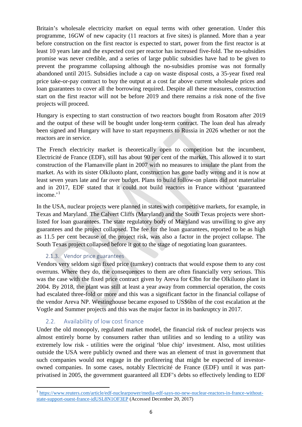Britain's wholesale electricity market on equal terms with other generation. Under this programme, 16GW of new capacity (11 reactors at five sites) is planned. More than a year before construction on the first reactor is expected to start, power from the first reactor is at least 10 years late and the expected cost per reactor has increased five-fold. The no-subsidies promise was never credible, and a series of large public subsidies have had to be given to prevent the programme collapsing although the no-subsidies promise was not formally abandoned until 2015. Subsidies include a cap on waste disposal costs, a 35-year fixed real price take-or-pay contract to buy the output at a cost far above current wholesale prices and loan guarantees to cover all the borrowing required. Despite all these measures, construction start on the first reactor will not be before 2019 and there remains a risk none of the five projects will proceed.

Hungary is expecting to start construction of two reactors bought from Rosatom after 2019 and the output of these will be bought under long-term contract. The loan deal has already been signed and Hungary will have to start repayments to Russia in 2026 whether or not the reactors are in service.

The French electricity market is theoretically open to competition but the incumbent, Electricité de France (EDF), still has about 90 per cent of the market. This allowed it to start construction of the Flamanville plant in 2007 with no measures to insulate the plant from the market. As with its sister Olkiluoto plant, construction has gone badly wrong and it is now at least seven years late and far over budget. Plans to build follow-on plants did not materialise and in 2017, EDF stated that it could not build reactors in France without 'guaranteed income. $i<sup>1</sup>$  $i<sup>1</sup>$  $i<sup>1</sup>$ 

In the USA, nuclear projects were planned in states with competitive markets, for example, in Texas and Maryland. The Calvert Cliffs (Maryland) and the South Texas projects were shortlisted for loan guarantees. The state regulatory body of Maryland was unwilling to give any guarantees and the project collapsed. The fee for the loan guarantees, reported to be as high as 11.5 per cent because of the project risk, was also a factor in the project collapse. The South Texas project collapsed before it got to the stage of negotiating loan guarantees.

# 2.1.3. Vendor price guarantees

<span id="page-5-0"></span>Vendors very seldom sign fixed price (turnkey) contracts that would expose them to any cost overruns. Where they do, the consequences to them are often financially very serious. This was the case with the fixed price contract given by Areva for €3bn for the Olkiluoto plant in 2004. By 2018, the plant was still at least a year away from commercial operation, the costs had escalated three-fold or more and this was a significant factor in the financial collapse of the vendor Areva NP. Westinghouse became exposed to US\$6bn of the cost escalation at the Vogtle and Summer projects and this was the major factor in its bankruptcy in 2017.

# 2.2. Availability of low cost finance

<span id="page-5-1"></span>Under the old monopoly, regulated market model, the financial risk of nuclear projects was almost entirely borne by consumers rather than utilities and so lending to a utility was extremely low risk - utilities were the original 'blue chip' investment. Also, most utilities outside the USA were publicly owned and there was an element of trust in government that such companies would not engage in the profiteering that might be expected of investorowned companies. In some cases, notably Electricité de France (EDF) until it was partprivatised in 2005, the government guaranteed all EDF's debts so effectively lending to EDF

<span id="page-5-2"></span><sup>1</sup> [https://www.reuters.com/article/edf-nuclearpower/media-edf-says-no-new-nuclear-reactors-in-france-without](https://www.reuters.com/article/edf-nuclearpower/media-edf-says-no-new-nuclear-reactors-in-france-without-state-support-ouest-france-idUSL8N1OF3EP)[state-support-ouest-france-idUSL8N1OF3EP](https://www.reuters.com/article/edf-nuclearpower/media-edf-says-no-new-nuclear-reactors-in-france-without-state-support-ouest-france-idUSL8N1OF3EP) (Accessed December 20, 2017)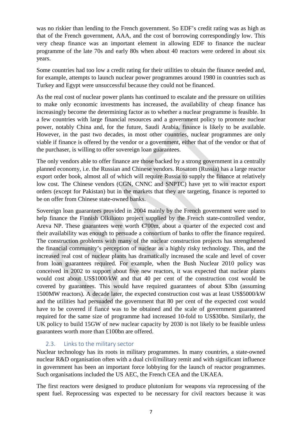was no riskier than lending to the French government. So EDF's credit rating was as high as that of the French government, AAA, and the cost of borrowing correspondingly low. This very cheap finance was an important element in allowing EDF to finance the nuclear programme of the late 70s and early 80s when about 40 reactors were ordered in about six years.

Some countries had too low a credit rating for their utilities to obtain the finance needed and, for example, attempts to launch nuclear power programmes around 1980 in countries such as Turkey and Egypt were unsuccessful because they could not be financed.

As the real cost of nuclear power plants has continued to escalate and the pressure on utilities to make only economic investments has increased, the availability of cheap finance has increasingly become the determining factor as to whether a nuclear programme is feasible. In a few countries with large financial resources and a government policy to promote nuclear power, notably China and, for the future, Saudi Arabia, finance is likely to be available. However, in the past two decades, in most other countries, nuclear programmes are only viable if finance is offered by the vendor or a government, either that of the vendor or that of the purchaser, is willing to offer sovereign loan guarantees.

The only vendors able to offer finance are those backed by a strong government in a centrally planned economy, i.e. the Russian and Chinese vendors. Rosatom (Russia) has a large reactor export order book, almost all of which will require Russia to supply the finance at relatively low cost. The Chinese vendors (CGN, CNNC and SNPTC) have yet to win reactor export orders (except for Pakistan) but in the markets that they are targeting, finance is reported to be on offer from Chinese state-owned banks.

Sovereign loan guarantees provided in 2004 mainly by the French government were used to help finance the Finnish Olkiluoto project supplied by the French state-controlled vendor, Areva NP. These guarantees were worth  $\epsilon$ 700m, about a quarter of the expected cost and their availability was enough to persuade a consortium of banks to offer the finance required. The construction problems with many of the nuclear construction projects has strengthened the financial community's perception of nuclear as a highly risky technology. This, and the increased real cost of nuclear plants has dramatically increased the scale and level of cover from loan guarantees required. For example, when the Bush Nuclear 2010 policy was conceived in 2002 to support about five new reactors, it was expected that nuclear plants would cost about US\$1000/kW and that 40 per cent of the construction cost would be covered by guarantees. This would have required guarantees of about \$3bn (assuming 1500MW reactors). A decade later, the expected construction cost was at least US\$5000/kW and the utilities had persuaded the government that 80 per cent of the expected cost would have to be covered if fiancé was to be obtained and the scale of government guaranteed required for the same size of programme had increased 10-fold to US\$30bn. Similarly, the UK policy to build 15GW of new nuclear capacity by 2030 is not likely to be feasible unless guarantees worth more than £100bn are offered.

# 2.3. Links to the military sector

<span id="page-6-0"></span>Nuclear technology has its roots in military programmes. In many countries, a state-owned nuclear R&D organisation often with a dual civil/military remit and with significant influence in government has been an important force lobbying for the launch of reactor programmes. Such organisations included the US AEC, the French CEA and the UKAEA.

The first reactors were designed to produce plutonium for weapons via reprocessing of the spent fuel. Reprocessing was expected to be necessary for civil reactors because it was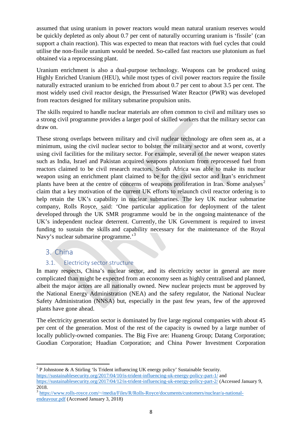assumed that using uranium in power reactors would mean natural uranium reserves would be quickly depleted as only about 0.7 per cent of naturally occurring uranium is 'fissile' (can support a chain reaction). This was expected to mean that reactors with fuel cycles that could utilise the non-fissile uranium would be needed. So-called fast reactors use plutonium as fuel obtained via a reprocessing plant.

Uranium enrichment is also a dual-purpose technology. Weapons can be produced using Highly Enriched Uranium (HEU), while most types of civil power reactors require the fissile naturally extracted uranium to be enriched from about 0.7 per cent to about 3.5 per cent. The most widely used civil reactor design, the Pressurised Water Reactor (PWR) was developed from reactors designed for military submarine propulsion units.

The skills required to handle nuclear materials are often common to civil and military uses so a strong civil programme provides a larger pool of skilled workers that the military sector can draw on.

These strong overlaps between military and civil nuclear technology are often seen as, at a minimum, using the civil nuclear sector to bolster the military sector and at worst, covertly using civil facilities for the military sector. For example, several of the newer weapon states such as India, Israel and Pakistan acquired weapons plutonium from reprocessed fuel from reactors claimed to be civil research reactors. South Africa was able to make its nuclear weapon using an enrichment plant claimed to be for the civil sector and Iran's enrichment plants have been at the centre of concerns of weapons proliferation in Iran. Some analyses<sup>[2](#page-7-2)</sup> claim that a key motivation of the current UK efforts to relaunch civil reactor ordering is to help retain the UK's capability in nuclear submarines. The key UK nuclear submarine company, Rolls Royce, said: 'One particular application for deployment of the talent developed through the UK SMR programme would be in the ongoing maintenance of the UK's independent nuclear deterrent. Currently, the UK Government is required to invest funding to sustain the skills and capability necessary for the maintenance of the Royal Navy's nuclear submarine programme.<sup>[3](#page-7-3)</sup>

# <span id="page-7-0"></span>3. China

# 3.1. Electricity sector structure

<span id="page-7-1"></span>In many respects, China's nuclear sector, and its electricity sector in general are more complicated than might be expected from an economy seen as highly centralised and planned, albeit the major actors are all nationally owned. New nuclear projects must be approved by the National Energy Administration (NEA) and the safety regulator, the National Nuclear Safety Administration (NNSA) but, especially in the past few years, few of the approved plants have gone ahead.

The electricity generation sector is dominated by five large regional companies with about 45 per cent of the generation. Most of the rest of the capacity is owned by a large number of locally publicly-owned companies. The Big Five are: Huaneng Group; Datang Corporation; Guodian Corporation; Huadian Corporation; and China Power Investment Corporation

<span id="page-7-2"></span> <sup>2</sup> P Johnstone & A Stirling 'Is Trident influencing UK energy policy' Sustainable Security. <https://sustainablesecurity.org/2017/04/10/is-trident-influencing-uk-energy-policy-part-1/> and <https://sustainablesecurity.org/2017/04/12/is-trident-influencing-uk-energy-policy-part-2/> (Accessed January 9, 2018.

<span id="page-7-3"></span><sup>3</sup> [https://www.rolls-royce.com/~/media/Files/R/Rolls-Royce/documents/customers/nuclear/a-national](https://www.rolls-royce.com/~/media/Files/R/Rolls-Royce/documents/customers/nuclear/a-national-endeavour.pdf)[endeavour.pdf](https://www.rolls-royce.com/~/media/Files/R/Rolls-Royce/documents/customers/nuclear/a-national-endeavour.pdf) (Accessed January 3, 2018)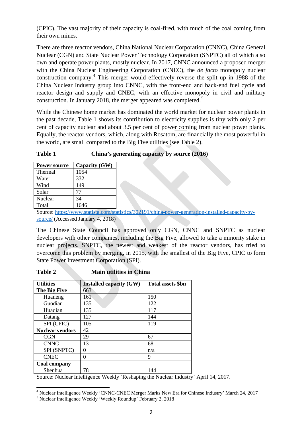(CPIC). The vast majority of their capacity is coal-fired, with much of the coal coming from their own mines.

There are three reactor vendors, China National Nuclear Corporation (CNNC), China General Nuclear (CGN) and State Nuclear Power Technology Corporation (SNPTC) all of which also own and operate power plants, mostly nuclear. In 2017, CNNC announced a proposed merger with the China Nuclear Engineering Corporation (CNEC), the *de facto* monopoly nuclear construction company.[4](#page-8-0) This merger would effectively reverse the split up in 1988 of the China Nuclear Industry group into CNNC, with the front-end and back-end fuel cycle and reactor design and supply and CNEC, with an effective monopoly in civil and military construction. In January 2018, the merger appeared was completed.<sup>[5](#page-8-1)</sup>

While the Chinese home market has dominated the world market for nuclear power plants in the past decade, Table 1 shows its contribution to electricity supplies is tiny with only 2 per cent of capacity nuclear and about 3.5 per cent of power coming from nuclear power plants. Equally, the reactor vendors, which, along with Rosatom, are financially the most powerful in the world, are small compared to the Big Five utilities (see Table 2).

### **Table 1 China's generating capacity by source (2016)**

| <b>Power source</b> | Capacity (GW) |
|---------------------|---------------|
| Thermal             | 1054          |
| Water               | 332           |
| Wind                | 149           |
| Solar               | 77            |
| Nuclear             | 34            |
| Total               | 1646          |

Source: [https://www.statista.com/statistics/302191/china-power-generation-installed-capacity-by](https://www.statista.com/statistics/302191/china-power-generation-installed-capacity-by-source/)[source/](https://www.statista.com/statistics/302191/china-power-generation-installed-capacity-by-source/) (Accessed January 4, 2018)

The Chinese State Council has approved only CGN, CNNC and SNPTC as nuclear developers with other companies, including the Big Five, allowed to take a minority stake in nuclear projects. SNPTC, the newest and weakest of the reactor vendors, has tried to overcome this problem by merging, in 2015, with the smallest of the Big Five, CPIC to form State Power Investment Corporation (SPI).

| <b>Table 2</b> | <b>Main utilities in China</b> |
|----------------|--------------------------------|
|                |                                |

| <b>Utilities</b>       | <b>Installed capacity (GW)</b> | <b>Total assets \$bn</b> |
|------------------------|--------------------------------|--------------------------|
| The Big Five           | 663                            |                          |
| Huaneng                | 161                            | 150                      |
| Guodian                | 135                            | 122                      |
| Huadian                | 135                            | 117                      |
| Datang                 | 127                            | 144                      |
| SPI (CPIC)             | 105                            | 119                      |
| <b>Nuclear vendors</b> | 42                             |                          |
| <b>CGN</b>             | 29                             | 67                       |
| <b>CNNC</b>            | 13                             | 68                       |
| SPI (SNPTC)            | 0                              | n/a                      |
| <b>CNEC</b>            | 0                              | 9                        |
| <b>Coal company</b>    |                                |                          |
| Shenhua                | 78                             | 144                      |

Source: Nuclear Intelligence Weekly 'Reshaping the Nuclear Industry' April 14, 2017.

<span id="page-8-0"></span><sup>&</sup>lt;sup>4</sup> Nuclear Intelligence Weekly 'CNNC-CNEC Merger Marks New Era for Chinese Industry' March 24, 2017<br><sup>5</sup> Nuclear Intelligence Weekly 'Weekly Roundup' February 2, 2018

<span id="page-8-1"></span>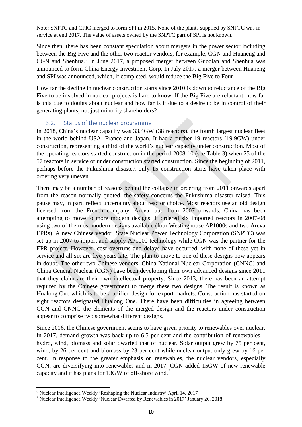Note: SNPTC and CPIC merged to form SPI in 2015. None of the plants supplied by SNPTC was in service at end 2017. The value of assets owned by the SNPTC part of SPI is not known.

Since then, there has been constant speculation about mergers in the power sector including between the Big Five and the other two reactor vendors, for example, CGN and Huaneng and CGN and Shenhua.<sup>[6](#page-9-1)</sup> In June 2017, a proposed merger between Guodian and Shenhua was announced to form China Energy Investment Corp. In July 2017, a merger between Huaneng and SPI was announced, which, if completed, would reduce the Big Five to Four

How far the decline in nuclear construction starts since 2010 is down to reluctance of the Big Five to be involved in nuclear projects is hard to know. If the Big Five are reluctant, how far is this due to doubts about nuclear and how far is it due to a desire to be in control of their generating plants, not just minority shareholders?

### 3.2. Status of the nuclear programme

<span id="page-9-0"></span>In 2018, China's nuclear capacity was 33.4GW (38 reactors), the fourth largest nuclear fleet in the world behind USA, France and Japan. It had a further 19 reactors (19.9GW) under construction, representing a third of the world's nuclear capacity under construction. Most of the operating reactors started construction in the period 2008-10 (see Table 3) when 25 of the 57 reactors in service or under construction started construction. Since the beginning of 2011, perhaps before the Fukushima disaster, only 15 construction starts have taken place with ordering very uneven.

There may be a number of reasons behind the collapse in ordering from 2011 onwards apart from the reason normally quoted, the safety concerns the Fukushima disaster raised. This pause may, in part, reflect uncertainty about reactor choice. Most reactors use an old design licensed from the French company, Areva, but, from 2007 onwards, China has been attempting to move to more modern designs. It ordered six imported reactors in 2007-08 using two of the most modern designs available (four Westinghouse AP1000s and two Areva EPRs). A new Chinese vendor, State Nuclear Power Technology Corporation (SNPTC) was set up in 2007 to import and supply AP1000 technology while CGN was the partner for the EPR project. However, cost overruns and delays have occurred, with none of these yet in service and all six are five years late. The plan to move to one of these designs now appears in doubt. The other two Chinese vendors, China National Nuclear Corporation (CNNC) and China General Nuclear (CGN) have been developing their own advanced designs since 2011 that they claim are their own intellectual property. Since 2013, there has been an attempt required by the Chinese government to merge these two designs. The result is known as Hualong One which is to be a unified design for export markets. Construction has started on eight reactors designated Hualong One. There have been difficulties in agreeing between CGN and CNNC the elements of the merged design and the reactors under construction appear to comprise two somewhat different designs.

Since 2016, the Chinese government seems to have given priority to renewables over nuclear. In 2017, demand growth was back up to 6.5 per cent and the contribution of renewables – hydro, wind, biomass and solar dwarfed that of nuclear. Solar output grew by 75 per cent, wind, by 26 per cent and biomass by 23 per cent while nuclear output only grew by 16 per cent. In response to the greater emphasis on renewables, the nuclear vendors, especially CGN, are diversifying into renewables and in 2017, CGN added 15GW of new renewable capacity and it has plans for 13GW of off-shore wind.<sup>[7](#page-9-2)</sup>

<span id="page-9-1"></span><sup>6</sup> Nuclear Intelligence Weekly 'Reshaping the Nuclear Industry' April 14, 2017

<span id="page-9-2"></span><sup>7</sup> Nuclear Intelligence Weekly 'Nuclear Dwarfed by Renewables in 2017' January 26, 2018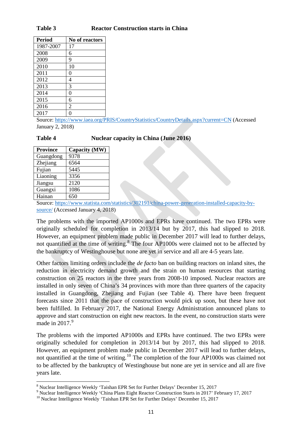#### **Table 3 Reactor Construction starts in China**

| <b>Period</b> | No of reactors |
|---------------|----------------|
| 1987-2007     | 17             |
| 2008          | 6              |
| 2009          | 9              |
| 2010          | 10             |
| 2011          | 0              |
| 2012          | 4              |
| 2013          | 3              |
| 2014          | 0              |
| 2015          | 6              |
| 2016          | $\overline{2}$ |
| 2017          |                |

Source:<https://www.iaea.org/PRIS/CountryStatistics/CountryDetails.aspx?current=CN> (Accessed January 2, 2018)

#### **Table 4 Nuclear capacity in China (June 2016)**

| <b>Province</b> | Capacity (MW) |
|-----------------|---------------|
| Guangdong       | 9378          |
| Zhejiang        | 6564          |
| Fujian          | 5445          |
| Liaoning        | 3356          |
| Jiangsu         | 2120          |
| Guangxi         | 1086          |
| Hainan          | 650           |

Source: [https://www.statista.com/statistics/302191/china-power-generation-installed-capacity-by](https://www.statista.com/statistics/302191/china-power-generation-installed-capacity-by-source/)[source/](https://www.statista.com/statistics/302191/china-power-generation-installed-capacity-by-source/) (Accessed January 4, 2018)

The problems with the imported AP1000s and EPRs have continued. The two EPRs were originally scheduled for completion in 2013/14 but by 2017, this had slipped to 2018. However, an equipment problem made public in December 2017 will lead to further delays, not quantified at the time of writing.<sup>[8](#page-10-0)</sup> The four AP1000s were claimed not to be affected by the bankruptcy of Westinghouse but none are yet in service and all are 4-5 years late.

Other factors limiting orders include the *de facto* ban on building reactors on inland sites, the reduction in electricity demand growth and the strain on human resources that starting construction on 25 reactors in the three years from 2008-10 imposed. Nuclear reactors are installed in only seven of China's 34 provinces with more than three quarters of the capacity installed in Guangdong, Zhejiang and Fujian (see Table 4). There have been frequent forecasts since 2011 that the pace of construction would pick up soon, but these have not been fulfilled. In February 2017, the National Energy Administration announced plans to approve and start construction on eight new reactors. In the event, no construction starts were made in  $2017.<sup>9</sup>$  $2017.<sup>9</sup>$  $2017.<sup>9</sup>$ 

The problems with the imported AP1000s and EPRs have continued. The two EPRs were originally scheduled for completion in 2013/14 but by 2017, this had slipped to 2018. However, an equipment problem made public in December 2017 will lead to further delays, not quantified at the time of writing.[10](#page-10-2) The completion of the four AP1000s was claimed not to be affected by the bankruptcy of Westinghouse but none are yet in service and all are five years late.

<span id="page-10-0"></span><sup>8&</sup>lt;br>8 Nuclear Intelligence Weekly 'Taishan EPR Set for Further Delays' December 15, 2017

<span id="page-10-1"></span><sup>&</sup>lt;sup>9</sup> Nuclear Intelligence Weekly 'China Plans Eight Reactor Construction Starts in 2017' February 17, 2017<br><sup>10</sup> Nuclear Intelligence Weekly 'Taishan EPR Set for Further Delays' December 15, 2017

<span id="page-10-2"></span>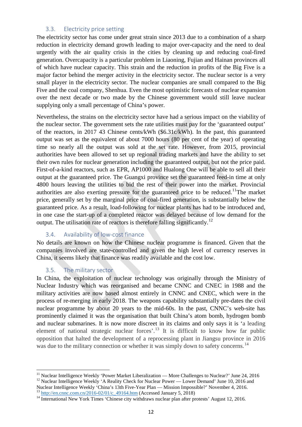### 3.3. Electricity price setting

<span id="page-11-0"></span>The electricity sector has come under great strain since 2013 due to a combination of a sharp reduction in electricity demand growth leading to major over-capacity and the need to deal urgently with the air quality crisis in the cities by cleaning up and reducing coal-fired generation. Overcapacity is a particular problem in Liaoning, Fujian and Hainan provinces all of which have nuclear capacity. This strain and the reduction in profits of the Big Five is a major factor behind the merger activity in the electricity sector. The nuclear sector is a very small player in the electricity sector. The nuclear companies are small compared to the Big Five and the coal company, Shenhua. Even the most optimistic forecasts of nuclear expansion over the next decade or two made by the Chinese government would still leave nuclear supplying only a small percentage of China's power.

Nevertheless, the strains on the electricity sector have had a serious impact on the viability of the nuclear sector. The government sets the rate utilities must pay for the 'guaranteed output' of the reactors, in 2017 43 Chinese cents/kWh (\$6.31c/kWh). In the past, this guaranteed output was set as the equivalent of about 7000 hours (80 per cent of the year) of operating time so nearly all the output was sold at the set rate. However, from 2015, provincial authorities have been allowed to set up regional trading markets and have the ability to set their own rules for nuclear generation including the guaranteed output, but not the price paid. First-of-a-kind reactors, such as EPR, AP1000 and Hualong One will be able to sell all their output at the guaranteed price. The Guangxi province set the guaranteed feed-in time at only 4800 hours leaving the utilities to bid the rest of their power into the market. Provincial authorities are also exerting pressure for the guaranteed price to be reduced.<sup>[11](#page-11-3)</sup>The market price, generally set by the marginal price of coal-fired generation, is substantially below the guaranteed price. As a result, load-following for nuclear plants has had to be introduced and, in one case the start-up of a completed reactor was delayed because of low demand for the output. The utilisation rate of reactors is therefore falling significantly.<sup>[12](#page-11-4)</sup>

# 3.4. Availability of low-cost finance

<span id="page-11-1"></span>No details are known on how the Chinese nuclear programme is financed. Given that the companies involved are state-controlled and given the high level of currency reserves in China, it seems likely that finance was readily available and the cost low.

# 3.5. The military sector

<span id="page-11-2"></span>In China, the exploitation of nuclear technology was originally through the Ministry of Nuclear Industry which was reorganised and became CNNC and CNEC in 1988 and the military activities are now based almost entirely in CNNC and CNEC, which were in the process of re-merging in early 2018. The weapons capability substantially pre-dates the civil nuclear programme by about 20 years to the mid-60s. In the past, CNNC's web-site has prominently claimed it was the organisation that built China's atom bomb, hydrogen bomb and nuclear submarines. It is now more discreet in its claims and only says it is 'a leading element of national strategic nuclear forces<sup> $13$ </sup> It is difficult to know how far public opposition that halted the development of a reprocessing plant in Jiangsu province in 2016 was due to the military connection or whether it was simply down to safety concerns.<sup>[14](#page-11-6)</sup>

<span id="page-11-4"></span><span id="page-11-3"></span><sup>&</sup>lt;sup>11</sup> Nuclear Intelligence Weekly 'Power Market Liberalization — More Challenges to Nuclear?' June 24, 2016<br><sup>12</sup> Nuclear Intelligence Weekly 'A Reality Check for Nuclear Power — Lower Demand' June 10, 2016 and<br>Nuclear Inte

<span id="page-11-6"></span><span id="page-11-5"></span> $\frac{13}{14}$  http://en.cnnc.com.cn/2016-02/01/c 49164.htm (Accessed January 5, 2018)<br><sup>14</sup> International New York Times 'Chinese city withdraws nuclear plan after protests' August 12, 2016.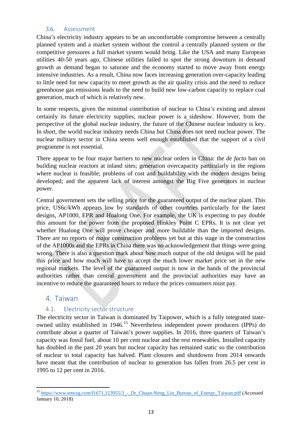### 3.6. Assessment

<span id="page-12-0"></span>China's electricity industry appears to be an uncomfortable compromise between a centrally planned system and a market system without the control a centrally planned system or the competitive pressures a full market system would bring. Like the USA and many European utilities 40-50 years ago, Chinese utilities failed to spot the strong downturn in demand growth as demand began to saturate and the economy started to move away from energy intensive industries. As a result, China now faces increasing generation over-capacity leading to little need for new capacity to meet growth as the air quality crisis and the need to reduce greenhouse gas emissions leads to the need to build new low-carbon capacity to replace coal generation, much of which is relatively new.

In some respects, given the minimal contribution of nuclear to China's existing and almost certainly its future electricity supplies, nuclear power is a sideshow. However, from the perspective of the global nuclear industry, the future of the Chinese nuclear industry is key. In short, the world nuclear industry needs China but China does not need nuclear power. The nuclear military sector in China seems well enough established that the support of a civil programme is not essential.

There appear to be four major barriers to new nuclear orders in China: the *de facto* ban on building nuclear reactors at inland sites; generation overcapacity particularly in the regions where nuclear is feasible; problems of cost and buildability with the modern designs being developed; and the apparent lack of interest amongst the Big Five generators in nuclear power.

Central government sets the selling price for the guaranteed output of the nuclear plant. This price, US6c/kWh appears low by standards of other countries particularly for the latest designs, AP1000, EPR and Hualong One. For example, the UK is expecting to pay double this amount for the power from the proposed Hinkley Point C EPRs. It is not clear yet whether Hualong One will prove cheaper and more buildable than the imported designs. There are no reports of major construction problems yet but at this stage in the construction of the AP1000s and the EPRs in China there was no acknowledgement that things were going wrong. There is also a question mark about how much output of the old designs will be paid this price and how much will have to accept the much lower market price set in the new regional markets. The level of the guaranteed output is now in the hands of the provincial authorities rather than central government and the provincial authorities may have an incentive to reduce the guaranteed hours to reduce the prices consumers must pay.

# <span id="page-12-1"></span>4. Taiwan

# 4.1. Electricity sector structure

<span id="page-12-2"></span>The electricity sector in Taiwan is dominated by Taipower, which is a fully integrated stateowned utility established in 1946.[15](#page-12-3) Nevertheless independent power producers (IPPs) do contribute about a quarter of Taiwan's power supplies. In 2016, three quarters of Taiwan's capacity was fossil fuel, about 10 per cent nuclear and the rest renewables. Installed capacity has doubled in the past 20 years but nuclear capacity has remained static so the contribution of nuclear to total capacity has halved. Plant closures and shutdowns from 2014 onwards have meant that the contribution of nuclear to generation has fallen from 26.5 per cent in 1995 to 12 per cent in 2016.

<span id="page-12-3"></span><sup>&</sup>lt;sup>15</sup> https://www.emcsg.com/f1671,123955/3 - Dr Chuan-Neng Lin Bureau of Energy Taiwan.pdf (Accessed January 10, 2018)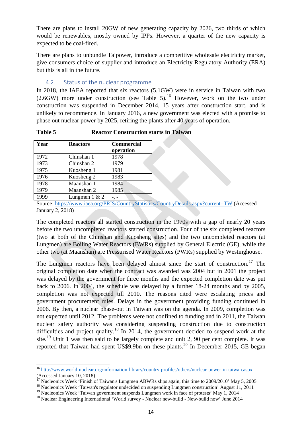There are plans to install 20GW of new generating capacity by 2026, two thirds of which would be renewables, mostly owned by IPPs. However, a quarter of the new capacity is expected to be coal-fired.

There are plans to unbundle Taipower, introduce a competitive wholesale electricity market, give consumers choice of supplier and introduce an Electricity Regulatory Authority (ERA) but this is all in the future.

### 4.2. Status of the nuclear programme

<span id="page-13-0"></span>In 2018, the IAEA reported that six reactors (5.1GW) were in service in Taiwan with two  $(2.6$ GW) more under construction (see Table 5).<sup>[16](#page-13-1)</sup> However, work on the two under construction was suspended in December 2014, 15 years after construction start, and is unlikely to recommence. In January 2016, a new government was elected with a promise to phase out nuclear power by 2025, retiring the plants after 40 years of operation.

**Table 5 Reactor Construction starts in Taiwan**

| Year | <b>Reactors</b> | <b>Commercial</b><br>operation |
|------|-----------------|--------------------------------|
| 1972 | Chinshan 1      | 1978                           |
| 1973 | Chinshan 2      | 1979                           |
| 1975 | Kuosheng 1      | 1981                           |
| 1976 | Kuosheng 2      | 1983                           |
| 1978 | Maanshan 1      | 1984                           |
| 1979 | Maanshan 2      | 1985                           |
| 1999 | Lungmen $1 & 2$ |                                |

Source:<https://www.iaea.org/PRIS/CountryStatistics/CountryDetails.aspx?current=TW> (Accessed January 2, 2018)

The completed reactors all started construction in the 1970s with a gap of nearly 20 years before the two uncompleted reactors started construction. Four of the six completed reactors (two at both of the Chinshan and Kuosheng sites) and the two uncompleted reactors (at Lungmen) are Boiling Water Reactors (BWRs) supplied by General Electric (GE), while the other two (at Maanshan) are Pressurised Water Reactors (PWRs) supplied by Westinghouse.

The Lungmen reactors have been delayed almost since the start of construction.<sup>[17](#page-13-2)</sup> The original completion date when the contract was awarded was 2004 but in 2001 the project was delayed by the government for three months and the expected completion date was put back to 2006. In 2004, the schedule was delayed by a further 18-24 months and by 2005, completion was not expected till 2010. The reasons cited were escalating prices and government procurement rules. Delays in the government providing funding continued in 2006. By then, a nuclear phase-out in Taiwan was on the agenda. In 2009, completion was not expected until 2012. The problems were not confined to funding and in 2011, the Taiwan nuclear safety authority was considering suspending construction due to construction difficulties and project quality.<sup>[18](#page-13-3)</sup> In 2014, the government decided to suspend work at the site.<sup>[19](#page-13-4)</sup> Unit 1 was then said to be largely complete and unit 2, 90 per cent complete. It was reported that Taiwan had spent US\$9.9bn on these plants.<sup>[20](#page-13-5)</sup> In December 2015, GE began

<span id="page-13-1"></span><sup>16</sup> <http://www.world-nuclear.org/information-library/country-profiles/others/nuclear-power-in-taiwan.aspx> (Accessed January 10, 2018)<br><sup>17</sup> Nucleonics Week 'Finish of Taiwan's Lungmen ABWRs slips again, this time to 2009/2010' May 5, 2005

<span id="page-13-2"></span><sup>&</sup>lt;sup>17</sup> Nucleonics Week 'Finish of Taiwan's Lungmen ABWRs slips again, this time to 2009/2010' May 5, 2005<sup>18</sup> Nucleonics Week 'Taiwan's regulator undecided on suspending Lungmen construction' August 11, 2011

<span id="page-13-3"></span>

<span id="page-13-4"></span><sup>&</sup>lt;sup>19</sup> Nucleonics Week 'Taiwan government suspends Lungmen work in face of protests' May 1, 2014<br><sup>20</sup> Nuclear Engineering International 'World survey - Nuclear new-build - New-build now' June 2014

<span id="page-13-5"></span>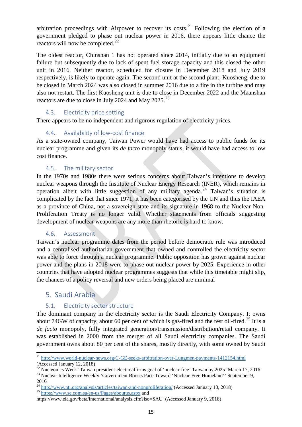arbitration proceedings with Airpower to recover its costs.<sup>[21](#page-14-5)</sup> Following the election of a government pledged to phase out nuclear power in 2016, there appears little chance the reactors will now be completed. $^{22}$  $^{22}$  $^{22}$ 

The oldest reactor, Chinshan 1 has not operated since 2014, initially due to an equipment failure but subsequently due to lack of spent fuel storage capacity and this closed the other unit in 2016. Neither reactor, scheduled for closure in December 2018 and July 2019 respectively, is likely to operate again. The second unit at the second plant, Kuosheng, due to be closed in March 2024 was also closed in summer 2016 due to a fire in the turbine and may also not restart. The first Kuosheng unit is due to close in December 2022 and the Maanshan reactors are due to close in July 2024 and May  $2025.^{23}$  $2025.^{23}$  $2025.^{23}$ 

# 4.3. Electricity price setting

<span id="page-14-1"></span>There appears to be no independent and rigorous regulation of electricity prices.

# 4.4. Availability of low-cost finance

<span id="page-14-2"></span>As a state-owned company, Taiwan Power would have had access to public funds for its nuclear programme and given its *de facto* monopoly status, it would have had access to low cost finance.

# 4.5. The military sector

<span id="page-14-3"></span>In the 1970s and 1980s there were serious concerns about Taiwan's intentions to develop nuclear weapons through the Institute of Nuclear Energy Research (INER), which remains in operation albeit with little suggestion of any military agenda.<sup>[24](#page-14-8)</sup> Taiwan's situation is complicated by the fact that since 1971, it has been categorised by the UN and thus the IAEA as a province of China, not a sovereign state and its signature in 1968 to the Nuclear Non-Proliferation Treaty is no longer valid. Whether statements from officials suggesting development of nuclear weapons are any more than rhetoric is hard to know.

### 4.6. Assessment

<span id="page-14-4"></span>Taiwan's nuclear programme dates from the period before democratic rule was introduced and a centralised authoritarian government that owned and controlled the electricity sector was able to force through a nuclear programme. Public opposition has grown against nuclear power and the plans in 2018 were to phase out nuclear power by 2025. Experience in other countries that have adopted nuclear programmes suggests that while this timetable might slip, the chances of a policy reversal and new orders being placed are minimal

# 5. Saudi Arabia

# 5.1. Electricity sector structure

<span id="page-14-0"></span>The dominant company in the electricity sector is the Saudi Electricity Company. It owns about 74GW of capacity, about 60 per cent of which is gas-fired and the rest oil-fired.<sup>[25](#page-14-9)</sup> It is a *de facto* monopoly, fully integrated generation/transmission/distribution/retail company. It was established in 2000 from the merger of all Saudi electricity companies. The Saudi government owns about 80 per cent of the shares, mostly directly, with some owned by Saudi

<sup>21</sup> <http://www.world-nuclear-news.org/C-GE-seeks-arbitration-over-Lungmen-payments-1412154.html>

<span id="page-14-5"></span><sup>(</sup>Accessed January 12, 2018)<br><sup>22</sup> Nucleonics Week 'Taiwan president-elect reaffirms goal of 'nuclear-free' Taiwan by 2025' March 17, 2016

<span id="page-14-7"></span><span id="page-14-6"></span><sup>&</sup>lt;sup>23</sup> Nuclear Intelligence Weekly 'Government Boosts Pace Toward 'Nuclear-Free Homeland'' September 9, 2016

<span id="page-14-8"></span> $^{24}$  <http://www.nti.org/analysis/articles/taiwan-and-nonproliferation/> (Accessed January 10, 2018)  $^{25}$  <https://www.se.com.sa/en-us/Pages/aboutus.aspx> and

<span id="page-14-9"></span>https://www.eia.gov/beta/international/analysis.cfm?iso=SAU (Accessed January 9, 2018)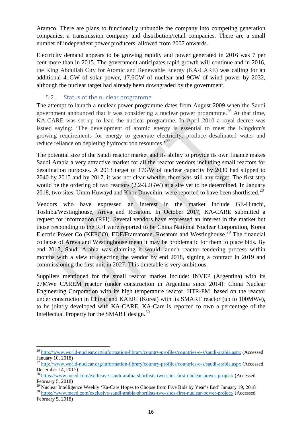Aramco. There are plans to functionally unbundle the company into competing generation companies, a transmission company and distribution/retail companies. There are a small number of independent power producers, allowed from 2007 onwards.

Electricity demand appears to be growing rapidly and power generated in 2016 was 7 per cent more than in 2015. The government anticipates rapid growth will continue and in 2016, the King Abdullah City for Atomic and Renewable Energy (KA-CARE) was calling for an additional 41GW of solar power, 17.6GW of nuclear and 9GW of wind power by 2032, although the nuclear target had already been downgraded by the government.

### 5.2. Status of the nuclear programme

<span id="page-15-0"></span>The attempt to launch a nuclear power programme dates from August 2009 when the Saudi government announced that it was considering a nuclear power programme.<sup>[26](#page-15-1)</sup> At that time, KA-CARE was set up to lead the nuclear programme. In April 2010 a royal decree was issued saying: 'The development of atomic energy is essential to meet the Kingdom's growing requirements for energy to generate electricity, produce desalinated water and reduce reliance on depleting hydrocarbon resources.<sup>[27](#page-15-2)</sup>

The potential size of the Saudi reactor market and its ability to provide its own finance makes Saudi Arabia a very attractive market for all the reactor vendors including small reactors for desalination purposes. A 2013 target of 17GW of nuclear capacity by 2030 had slipped to 2040 by 2015 and by 2017, it was not clear whether there was still any target. The first step would be the ordering of two reactors (2.2-3.2GW) at a site yet to be determined. In January 2018, two sites, Umm Huwayd and Khor Duweihin, were reported to have been shortlisted.<sup>[28](#page-15-3)</sup>

Vendors who have expressed an interest in the market include GE-Hitachi, Toshiba/Westinghouse, Areva and Rosatom. In October 2017, KA-CARE submitted a request for information (RFI). Several vendors have expressed an interest in the market but those responding to the RFI were reported to be China National Nuclear Corporation, Korea Electric Power Co (KEPCO), EDF/Framatome, Rosatom and Westinghouse.<sup>[29](#page-15-4)</sup> The financial collapse of Areva and Westinghouse mean it may be problematic for them to place bids. By end 2017, Saudi Arabia was claiming it would launch reactor tendering process within months with a view to selecting the vendor by end 2018, signing a contract in 2019 and commissioning the first unit in 2027. This timetable is very ambitious.

Suppliers mentioned for the small reactor market include: INVEP (Argentina) with its 27MWe CAREM reactor (under construction in Argentina since 2014): China Nuclear Engineering Corporation with its high temperature reactor, HTR-PM, based on the reactor under construction in China; and KAERI (Korea) with its SMART reactor (up to 100MWe), to be jointly developed with KA-CARE. KA-Care is reported to own a percentage of the Intellectual Property for the SMART design.<sup>[30](#page-15-5)</sup>

<span id="page-15-1"></span><sup>26</sup> <http://www.world-nuclear.org/information-library/country-profiles/countries-o-s/saudi-arabia.aspx> (Accessed January 10, 2018)

<span id="page-15-2"></span><sup>27</sup> <http://www.world-nuclear.org/information-library/country-profiles/countries-o-s/saudi-arabia.aspx> (Accessed December 14, 2017)

<span id="page-15-3"></span><sup>&</sup>lt;sup>28</sup> <https://www.meed.com/exclusive-saudi-arabia-shortlists-two-sites-first-nuclear-power-project/> (Accessed February 5, 2018)<br><sup>29</sup> Nuclear Intelligence Weekly 'Ka-Care Hopes to Choose from Five Bids by Year's End' January 19, 2018

<span id="page-15-5"></span><span id="page-15-4"></span><sup>&</sup>lt;sup>30</sup> <https://www.meed.com/exclusive-saudi-arabia-shortlists-two-sites-first-nuclear-power-project/> (Accessed February 5, 2018)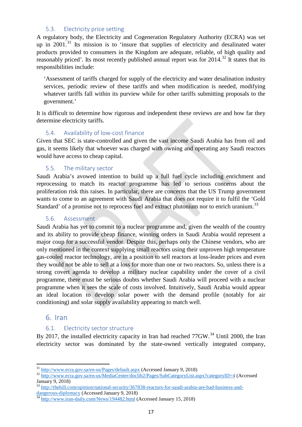### 5.3. Electricity price setting

<span id="page-16-0"></span>A regulatory body, the Electricity and Cogeneration Regulatory Authority (ECRA) was set up in  $2001$ .<sup>[31](#page-16-6)</sup> Its mission is to 'insure that supplies of electricity and desalinated water products provided to consumers in the Kingdom are adequate, reliable, of high quality and reasonably priced'. Its most recently published annual report was for 2014.<sup>[32](#page-16-7)</sup> It states that its responsibilities include:

'Assessment of tariffs charged for supply of the electricity and water desalination industry services, periodic review of these tariffs and when modification is needed, modifying whatever tariffs fall within its purview while for other tariffs submitting proposals to the government.'

It is difficult to determine how rigorous and independent these reviews are and how far they determine electricity tariffs.

### 5.4. Availability of low-cost finance

<span id="page-16-1"></span>Given that SEC is state-controlled and given the vast income Saudi Arabia has from oil and gas, it seems likely that whoever was charged with owning and operating any Saudi reactors would have access to cheap capital.

### 5.5. The military sector

<span id="page-16-2"></span>Saudi Arabia's avowed intention to build up a full fuel cycle including enrichment and reprocessing to match its reactor programme has led to serious concerns about the proliferation risk this raises. In particular, there are concerns that the US Trump government wants to come to an agreement with Saudi Arabia that does not require it to fulfil the 'Gold Standard' of a promise not to reprocess fuel and extract plutonium nor to enrich uranium.<sup>[33](#page-16-8)</sup>

### 5.6. Assessment

<span id="page-16-3"></span>Saudi Arabia has yet to commit to a nuclear programme and, given the wealth of the country and its ability to provide cheap finance, winning orders in Saudi Arabia would represent a major coup for a successful vendor. Despite this, perhaps only the Chinese vendors, who are only mentioned in the context supplying small reactors using their unproven high temperature gas-cooled reactor technology, are in a position to sell reactors at loss-leader prices and even they would not be able to sell at a loss for more than one or two reactors. So, unless there is a strong covert agenda to develop a military nuclear capability under the cover of a civil programme, there must be serious doubts whether Saudi Arabia will proceed with a nuclear programme when it sees the scale of costs involved. Intuitively, Saudi Arabia would appear an ideal location to develop solar power with the demand profile (notably for air conditioning) and solar supply availability appearing to match well.

# <span id="page-16-4"></span>6. Iran

# 6.1. Electricity sector structure

<span id="page-16-5"></span>By 2017, the installed electricity capacity in Iran had reached  $77$ GW.<sup>[34](#page-16-9)</sup> Until 2000, the Iran electricity sector was dominated by the state-owned vertically integrated company,

<span id="page-16-7"></span><span id="page-16-6"></span><sup>&</sup>lt;sup>31</sup> <http://www.ecra.gov.sa/en-us/Pages/default.aspx> (Accessed January 9, 2018)<br><sup>32</sup> <http://www.ecra.gov.sa/en-us/MediaCenter/doclib2/Pages/SubCategoryList.aspx?categoryID=4> (Accessed January 9, 2018)

<span id="page-16-8"></span> $\frac{33 \text{ http://thehill.com/opinion/national-security/367838-reactors-for-saudi-arabia-are-bad-business-and-dangerous-diplomacy}{}$  (Accessed January 9, 2018)

<span id="page-16-9"></span> $\frac{\text{diam}_{S}(\text{cos}-\text{dip})\cdot\text{sinul}_S}{\text{dip.}/\text{www.iran-daily.com/News}/194482\cdot\text{html}}$  (Accessed January 15, 2018)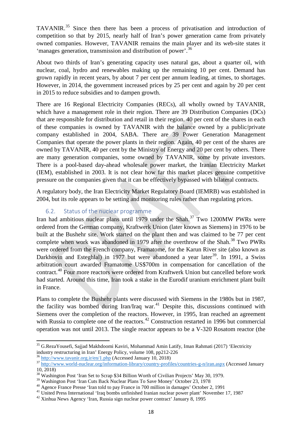TAVANIR.[35](#page-17-1) Since then there has been a process of privatisation and introduction of competition so that by 2015, nearly half of Iran's power generation came from privately owned companies. However, TAVANIR remains the main player and its web-site states it 'manages generation, transmission and distribution of power'.<sup>[36](#page-17-2)</sup>

About two thirds of Iran's generating capacity uses natural gas, about a quarter oil, with nuclear, coal, hydro and renewables making up the remaining 10 per cent. Demand has grown rapidly in recent years, by about 7 per cent per annum leading, at times, to shortages. However, in 2014, the government increased prices by 25 per cent and again by 20 per cent in 2015 to reduce subsidies and to dampen growth.

There are 16 Regional Electricity Companies (RECs), all wholly owned by TAVANIR, which have a management role in their region. There are 39 Distribution Companies (DCs) that are responsible for distribution and retail in their region. 40 per cent of the shares in each of these companies is owned by TAVANIR with the balance owned by a public/private company established in 2004, SABA. There are 39 Power Generation Management Companies that operate the power plants in their region. Again, 40 per cent of the shares are owned by TAVANIR, 40 per cent by the Ministry of Energy and 20 per cent by others. There are many generation companies, some owned by TAVANIR, some by private investors. There is a pool-based day-ahead wholesale power market, the Iranian Electricity Market (IEM), established in 2003. It is not clear how far this market places genuine competitive pressure on the companies given that it can be effectively bypassed with bilateral contracts.

A regulatory body, the Iran Electricity Market Regulatory Board (IEMRB) was established in 2004, but its role appears to be setting and monitoring rules rather than regulating prices.

### 6.2. Status of the nuclear programme

<span id="page-17-0"></span>Iran had ambitious nuclear plans until 1979 under the Shah.<sup>[37](#page-17-3)</sup> Two 1200MW PWRs were ordered from the German company, Kraftwerk Union (later known as Siemens) in 1976 to be built at the Bushehr site. Work started on the plant then and was claimed to be 77 per cent complete when work was abandoned in 1979 after the overthrow of the Shah.<sup>[38](#page-17-4)</sup> Two PWRs were ordered from the French company, Framatome, for the Karun River site (also known as Darkhovin and Esteghlal) in 1977 but were abandoned a year later<sup>[39](#page-17-5)</sup>. In 1991, a Swiss arbitration court awarded Framatome US\$700m in compensation for cancellation of the contract.[40](#page-17-6) Four more reactors were ordered from Kraftwerk Union but cancelled before work had started. Around this time, Iran took a stake in the Eurodif uranium enrichment plant built in France.

Plans to complete the Bushehr plants were discussed with Siemens in the 1980s but in 1987, the facility was bombed during Iran/Iraq war.<sup>[41](#page-17-7)</sup> Despite this, discussions continued with Siemens over the completion of the reactors. However, in 1995, Iran reached an agreement with Russia to complete one of the reactors.<sup>[42](#page-17-8)</sup> Construction restarted in 1996 but commercial operation was not until 2013. The single reactor appears to be a V-320 Rosatom reactor (the

<span id="page-17-1"></span><sup>&</sup>lt;sup>35</sup> [G.RezaYousefi,](http://www.sciencedirect.com/science/article/pii/S0301421517303026#!) [Sajjad Makhdoomi Kaviri, Mohammad Amin Latify,](http://www.sciencedirect.com/science/article/pii/S0301421517303026#!) [Iman Rahmati](http://www.sciencedirect.com/science/article/pii/S0301421517303026#!) (2017) 'Electricity industry restructuring in Iran' Energy Policy, volume 108, pp212-226

<span id="page-17-3"></span><span id="page-17-2"></span> $\frac{36}{37}$  <http://www.tavanir.org.ir/en/1.php> (Accessed January 10, 2018)<br> $\frac{37}{2}$  <http://www.world-nuclear.org/information-library/country-profiles/countries-g-n/iran.aspx> (Accessed January 10, 2018)

<span id="page-17-4"></span> $38$  Washington Post 'Iran Set to Scrap \$34 Billion Worth of Civilian Projects' May 30, 1979.<br> $39$  Washington Post 'Iran Cuts Back Nuclear Plans To Save Money' October 23, 1978

<span id="page-17-7"></span>

<span id="page-17-6"></span><span id="page-17-5"></span><sup>&</sup>lt;sup>40</sup> Agence France Presse 'Iran told to pay France in 700 million in damages' October 2, 1991<br><sup>41</sup> United Press International 'Iraq bombs unfinished Iranian nuclear power plant' November 17, 1987<br><sup>42</sup> Xinhua News Agency '

<span id="page-17-8"></span>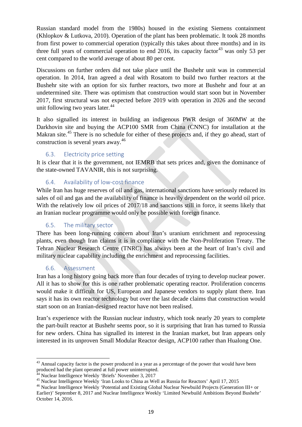Russian standard model from the 1980s) housed in the existing Siemens containment (Khlopkov & Lutkova, 2010). Operation of the plant has been problematic. It took 28 months from first power to commercial operation (typically this takes about three months) and in its three full years of commercial operation to end 2016, its capacity factor<sup>[43](#page-18-4)</sup> was only 53 per cent compared to the world average of about 80 per cent.

Discussions on further orders did not take place until the Bushehr unit was in commercial operation. In 2014, Iran agreed a deal with Rosatom to build two further reactors at the Bushehr site with an option for six further reactors, two more at Bushehr and four at an undetermined site. There was optimism that construction would start soon but in November 2017, first structural was not expected before 2019 with operation in 2026 and the second unit following two years later. $44$ 

It also signalled its interest in building an indigenous PWR design of 360MW at the Darkhovin site and buying the ACP100 SMR from China (CNNC) for installation at the Makran site.<sup>[45](#page-18-6)</sup> There is no schedule for either of these projects and, if they go ahead, start of construction is several years away.[46](#page-18-7)

# 6.3. Electricity price setting

<span id="page-18-0"></span>It is clear that it is the government, not IEMRB that sets prices and, given the dominance of the state-owned TAVANIR, this is not surprising.

# 6.4. Availability of low-cost finance

<span id="page-18-1"></span>While Iran has huge reserves of oil and gas, international sanctions have seriously reduced its sales of oil and gas and the availability of finance is heavily dependent on the world oil price. With the relatively low oil prices of 2017/18 and sanctions still in force, it seems likely that an Iranian nuclear programme would only be possible with foreign finance.

# 6.5. The military sector

<span id="page-18-2"></span>There has been long-running concern about Iran's uranium enrichment and reprocessing plants, even though Iran claims it is in compliance with the Non-Proliferation Treaty. The Tehran Nuclear Research Centre (TNRC) has always been at the heart of Iran's civil and military nuclear capability including the enrichment and reprocessing facilities.

# 6.6. Assessment

<span id="page-18-3"></span>Iran has a long history going back more than four decades of trying to develop nuclear power. All it has to show for this is one rather problematic operating reactor. Proliferation concerns would make it difficult for US, European and Japanese vendors to supply plant there. Iran says it has its own reactor technology but over the last decade claims that construction would start soon on an Iranian-designed reactor have not been realised.

Iran's experience with the Russian nuclear industry, which took nearly 20 years to complete the part-built reactor at Bushehr seems poor, so it is surprising that Iran has turned to Russia for new orders. China has signalled its interest in the Iranian market, but Iran appears only interested in its unproven Small Modular Reactor design, ACP100 rather than Hualong One.

<span id="page-18-4"></span><sup>&</sup>lt;sup>43</sup> Annual capacity factor is the power produced in a year as a percentage of the power that would have been produced had the plant operated at full power uninterrupted.

<span id="page-18-7"></span><span id="page-18-6"></span>

<span id="page-18-5"></span><sup>&</sup>lt;sup>34</sup> Nuclear Intelligence Weekly 'Briefs' November 3, 2017<br><sup>45</sup> Nuclear Intelligence Weekly 'Iran Looks to China as Well as Russia for Reactors' April 17, 2015<br><sup>45</sup> Nuclear Intelligence Weekly 'Potential and Existing Globa Earlier)' September 8, 2017 and Nuclear Intelligence Weekly 'Limited Newbuild Ambitions Beyond Bushehr' October 14, 2016.